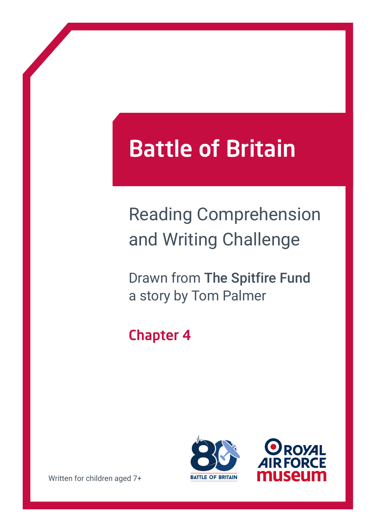# Battle of Britain

## Reading Comprehension and Writing Challenge

Drawn from The Spitfire Fund a story by Tom Palmer

### Chapter 4





Written for children aged 7+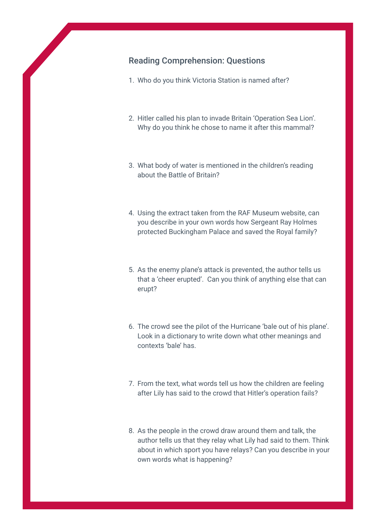#### Reading Comprehension: Questions

- 1. Who do you think Victoria Station is named after?
- 2. Hitler called his plan to invade Britain 'Operation Sea Lion'. Why do you think he chose to name it after this mammal?
- 3. What body of water is mentioned in the children's reading about the Battle of Britain?
- 4. Using the extract taken from the RAF Museum website, can you describe in your own words how Sergeant Ray Holmes protected Buckingham Palace and saved the Royal family?
- 5. As the enemy plane's attack is prevented, the author tells us that a 'cheer erupted'. Can you think of anything else that can erupt?
- 6. The crowd see the pilot of the Hurricane 'bale out of his plane'. Look in a dictionary to write down what other meanings and contexts 'bale' has.
- 7. From the text, what words tell us how the children are feeling after Lily has said to the crowd that Hitler's operation fails?
- 8. As the people in the crowd draw around them and talk, the author tells us that they relay what Lily had said to them. Think about in which sport you have relays? Can you describe in your own words what is happening?